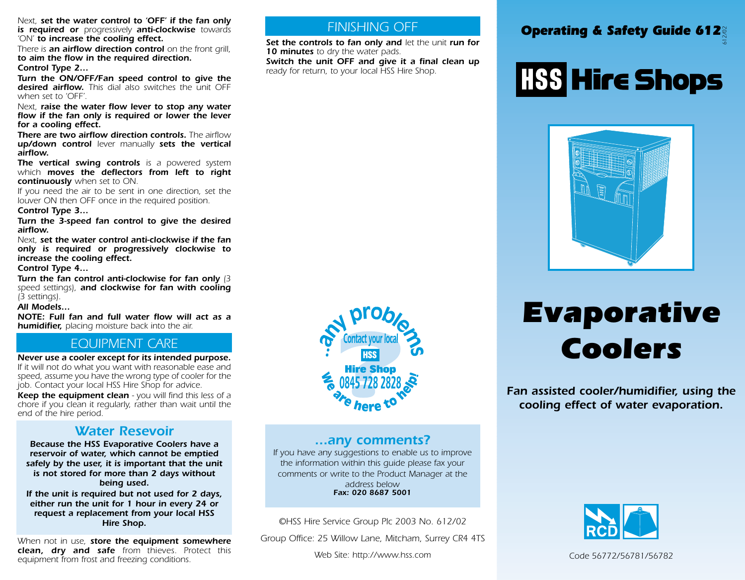*Next, set the water control to 'OFF' if the fan only is required or progressively anti-clockwise towards 'ON' to increase the cooling effect.* 

*There is an airflow direction control on the front grill, to aim the flow in the required direction. Control Type 2…*

*Turn the ON/OFF/Fan speed control to give the desired airflow. This dial also switches the unit OFF when set to 'OFF'.*

*Next, raise the water flow lever to stop any water flow if the fan only is required or lower the lever for a cooling effect.* 

*There are two airflow direction controls. The airflow up/down control lever manually sets the vertical airflow.*

*The vertical swing controls is a powered system which moves the deflectors from left to right continuously when set to ON.*

*If you need the air to be sent in one direction, set the louver ON then OFF once in the required position.*

### *Control Type 3…*

*Turn the 3-speed fan control to give the desired airflow.*

*Next, set the water control anti-clockwise if the fan only is required or progressively clockwise to increase the cooling effect.* 

#### *Control Type 4…*

*Turn the fan control anti-clockwise for fan only (3 speed settings), and clockwise for fan with cooling (3 settings).*

### *All Models…*

*NOTE: Full fan and full water flow will act as a humidifier, placing moisture back into the air.*

## *EQUIPMENT CARE*

*Never use a cooler except for its intended purpose. If it will not do what you want with reasonable ease and speed, assume you have the wrong type of cooler for the job. Contact your local HSS Hire Shop for advice.*

*Keep the equipment clean - you will find this less of a chore if you clean it regularly, rather than wait until the end of the hire period.* 

### *Water Resevoir*

*Because the HSS Evaporative Coolers have a reservoir of water, which cannot be emptied safely by the user, it is important that the unit is not stored for more than 2 days without being used.*

*If the unit is required but not used for 2 days, either run the unit for 1 hour in every 24 or request a replacement from your local HSS Hire Shop.*

*When not in use, store the equipment somewhere clean, dry and safe from thieves. Protect this equipment from frost and freezing conditions.*

## *FINISHING OFF*

*Set the controls to fan only and let the unit run for 10 minutes to dry the water pads.*

*Switch the unit OFF and give it a final clean up ready for return, to your local HSS Hire Shop.*



# **HSS Hire Shops**



# *Evaporative Coolers*

*Fan assisted cooler/humidifier, using the cooling effect of water evaporation.*



### *...any comments?*

*If you have any suggestions to enable us to improve the information within this guide please fax your comments or write to the Product Manager at the address below Fax: 020 8687 5001*

*©HSS Hire Service Group Plc 2003 No. 612/02*

*Group Office: 25 Willow Lane, Mitcham, Surrey CR4 4TS*

*Web Site: http://www.hss.com*